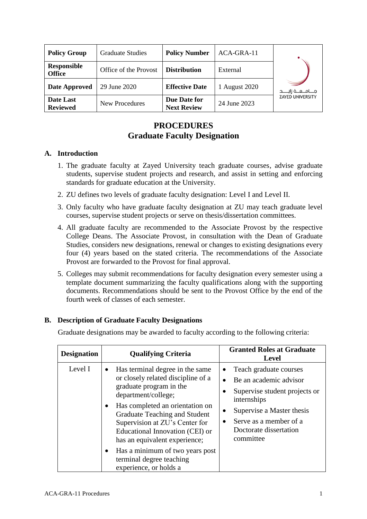| <b>Policy Group</b>                 | <b>Graduate Studies</b> | <b>Policy Number</b>               | ACA-GRA-11    |                                |
|-------------------------------------|-------------------------|------------------------------------|---------------|--------------------------------|
| <b>Responsible</b><br><b>Office</b> | Office of the Provost   | <b>Distribution</b>                | External      |                                |
| Date Approved                       | 29 June 2020            | <b>Effective Date</b>              | 1 August 2020 | مـــــامـــــــــه زايـــــــد |
| Date Last<br><b>Reviewed</b>        | New Procedures          | Due Date for<br><b>Next Review</b> | 24 June 2023  | <b>ZAYED UNIVERSITY</b>        |

# **PROCEDURES Graduate Faculty Designation**

## **A. Introduction**

- 1. The graduate faculty at Zayed University teach graduate courses, advise graduate students, supervise student projects and research, and assist in setting and enforcing standards for graduate education at the University.
- 2. ZU defines two levels of graduate faculty designation: Level I and Level II.
- 3. Only faculty who have graduate faculty designation at ZU may teach graduate level courses, supervise student projects or serve on thesis/dissertation committees.
- 4. All graduate faculty are recommended to the Associate Provost by the respective College Deans. The Associate Provost, in consultation with the Dean of Graduate Studies, considers new designations, renewal or changes to existing designations every four (4) years based on the stated criteria. The recommendations of the Associate Provost are forwarded to the Provost for final approval.
- 5. Colleges may submit recommendations for faculty designation every semester using a template document summarizing the faculty qualifications along with the supporting documents. Recommendations should be sent to the Provost Office by the end of the fourth week of classes of each semester.

## **B. Description of Graduate Faculty Designations**

Graduate designations may be awarded to faculty according to the following criteria:

| <b>Designation</b> | <b>Qualifying Criteria</b>                                                                                                                                                                                                                                                                                                                                                    | <b>Granted Roles at Graduate</b><br><b>Level</b>                                                                                                                                                                                           |  |
|--------------------|-------------------------------------------------------------------------------------------------------------------------------------------------------------------------------------------------------------------------------------------------------------------------------------------------------------------------------------------------------------------------------|--------------------------------------------------------------------------------------------------------------------------------------------------------------------------------------------------------------------------------------------|--|
| Level I            | Has terminal degree in the same<br>$\bullet$<br>or closely related discipline of a<br>graduate program in the<br>department/college;<br>Has completed an orientation on<br>Graduate Teaching and Student<br>Supervision at ZU's Center for<br>Educational Innovation (CEI) or<br>has an equivalent experience;<br>Has a minimum of two years post<br>terminal degree teaching | Teach graduate courses<br>$\bullet$<br>Be an academic advisor<br>٠<br>Supervise student projects or<br>internships<br>Supervise a Master thesis<br>$\bullet$<br>Serve as a member of a<br>$\bullet$<br>Doctorate dissertation<br>committee |  |
|                    | experience, or holds a                                                                                                                                                                                                                                                                                                                                                        |                                                                                                                                                                                                                                            |  |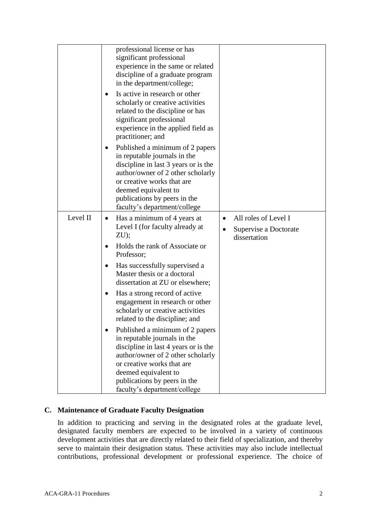|          | professional license or has<br>significant professional<br>experience in the same or related<br>discipline of a graduate program<br>in the department/college;                                                                                                                  |                                                                                         |
|----------|---------------------------------------------------------------------------------------------------------------------------------------------------------------------------------------------------------------------------------------------------------------------------------|-----------------------------------------------------------------------------------------|
|          | Is active in research or other<br>٠<br>scholarly or creative activities<br>related to the discipline or has<br>significant professional<br>experience in the applied field as<br>practitioner; and                                                                              |                                                                                         |
|          | Published a minimum of 2 papers<br>$\bullet$<br>in reputable journals in the<br>discipline in last 3 years or is the<br>author/owner of 2 other scholarly<br>or creative works that are<br>deemed equivalent to<br>publications by peers in the<br>faculty's department/college |                                                                                         |
| Level II | Has a minimum of 4 years at<br>$\bullet$<br>Level I (for faculty already at<br>$ZU$ );                                                                                                                                                                                          | All roles of Level I<br>$\bullet$<br>Supervise a Doctorate<br>$\bullet$<br>dissertation |
|          | Holds the rank of Associate or<br>Professor;                                                                                                                                                                                                                                    |                                                                                         |
|          | Has successfully supervised a<br>٠<br>Master thesis or a doctoral<br>dissertation at ZU or elsewhere;                                                                                                                                                                           |                                                                                         |
|          | Has a strong record of active<br>engagement in research or other<br>scholarly or creative activities<br>related to the discipline; and                                                                                                                                          |                                                                                         |
|          | Published a minimum of 2 papers<br>$\bullet$<br>in reputable journals in the<br>discipline in last 4 years or is the<br>author/owner of 2 other scholarly<br>or creative works that are                                                                                         |                                                                                         |
|          | deemed equivalent to                                                                                                                                                                                                                                                            |                                                                                         |
|          | publications by peers in the                                                                                                                                                                                                                                                    |                                                                                         |
|          | faculty's department/college                                                                                                                                                                                                                                                    |                                                                                         |

## **C. Maintenance of Graduate Faculty Designation**

In addition to practicing and serving in the designated roles at the graduate level, designated faculty members are expected to be involved in a variety of continuous development activities that are directly related to their field of specialization, and thereby serve to maintain their designation status. These activities may also include intellectual contributions, professional development or professional experience. The choice of